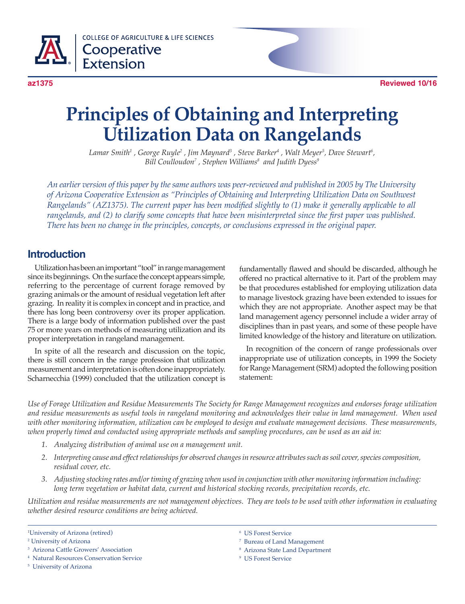

**COLLEGE OF AGRICULTURE & LIFE SCIENCES** Cooperative **Extension** 



# **Principles of Obtaining and Interpreting Utilization Data on Rangelands**

*Lamar Smith<sup>1</sup> , George Ruyle<sup>2</sup> , Jim Maynard<sup>3</sup> , Steve Barker<sup>4</sup> , Walt Meyer<sup>5</sup> , Dave Stewart<sup>6</sup> , Bill Coulloudon<sup>7</sup> , Stephen Williams<sup>8</sup> and Judith Dyess<sup>9</sup>*

*An earlier version of this paper by the same authors was peer-reviewed and published in 2005 by The University of Arizona Cooperative Extension as "Principles of Obtaining and Interpreting Utilization Data on Southwest Rangelands" (AZ1375). The current paper has been modified slightly to (1) make it generally applicable to all rangelands, and (2) to clarify some concepts that have been misinterpreted since the first paper was published. There has been no change in the principles, concepts, or conclusions expressed in the original paper.*

#### **Introduction**

Utilization has been an important "tool" in range management since its beginnings. On the surface the concept appears simple, referring to the percentage of current forage removed by grazing animals or the amount of residual vegetation left after grazing. In reality it is complex in concept and in practice, and there has long been controversy over its proper application. There is a large body of information published over the past 75 or more years on methods of measuring utilization and its proper interpretation in rangeland management.

In spite of all the research and discussion on the topic, there is still concern in the range profession that utilization measurement and interpretation is often done inappropriately. Scharnecchia (1999) concluded that the utilization concept is

fundamentally flawed and should be discarded, although he offered no practical alternative to it. Part of the problem may be that procedures established for employing utilization data to manage livestock grazing have been extended to issues for which they are not appropriate. Another aspect may be that land management agency personnel include a wider array of disciplines than in past years, and some of these people have limited knowledge of the history and literature on utilization.

In recognition of the concern of range professionals over inappropriate use of utilization concepts, in 1999 the Society for Range Management (SRM) adopted the following position statement:

*Use of Forage Utilization and Residue Measurements The Society for Range Management recognizes and endorses forage utilization and residue measurements as useful tools in rangeland monitoring and acknowledges their value in land management. When used with other monitoring information, utilization can be employed to design and evaluate management decisions. These measurements, when properly timed and conducted using appropriate methods and sampling procedures, can be used as an aid in:*

- *1. Analyzing distribution of animal use on a management unit.*
- *2. Interpreting cause and effect relationships for observed changes in resource attributes such as soil cover, species composition, residual cover, etc.*
- *3. Adjusting stocking rates and/or timing of grazing when used in conjunction with other monitoring information including: long term vegetation or habitat data, current and historical stocking records, precipitation records, etc.*

*Utilization and residue measurements are not management objectives. They are tools to be used with other information in evaluating whether desired resource conditions are being achieved.*

- 3 Arizona Cattle Growers' Association
- 4 Natural Resources Conservation Service
- 5 University of Arizona
- 6 US Forest Service
- 7 Bureau of Land Management
- 8 Arizona State Land Department
- 9 US Forest Service

<sup>1</sup> University of Arizona (retired)

<sup>2</sup> University of Arizona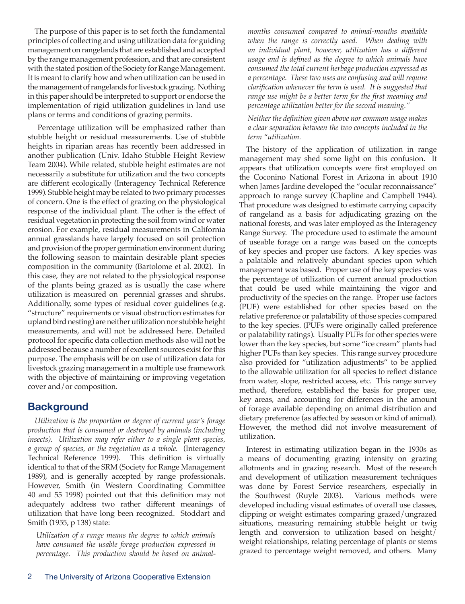The purpose of this paper is to set forth the fundamental principles of collecting and using utilization data for guiding management on rangelands that are established and accepted by the range management profession, and that are consistent with the stated position of the Society for Range Management. It is meant to clarify how and when utilization can be used in the management of rangelands for livestock grazing. Nothing in this paper should be interpreted to support or endorse the implementation of rigid utilization guidelines in land use plans or terms and conditions of grazing permits.

 Percentage utilization will be emphasized rather than stubble height or residual measurements. Use of stubble heights in riparian areas has recently been addressed in another publication (Univ. Idaho Stubble Height Review Team 2004). While related, stubble height estimates are not necessarily a substitute for utilization and the two concepts are different ecologically (Interagency Technical Reference 1999). Stubble height may be related to two primary processes of concern. One is the effect of grazing on the physiological response of the individual plant. The other is the effect of residual vegetation in protecting the soil from wind or water erosion. For example, residual measurements in California annual grasslands have largely focused on soil protection and provision of the proper germination environment during the following season to maintain desirable plant species composition in the community (Bartolome et al. 2002). In this case, they are not related to the physiological response of the plants being grazed as is usually the case where utilization is measured on perennial grasses and shrubs. Additionally, some types of residual cover guidelines (e.g. "structure" requirements or visual obstruction estimates for upland bird nesting) are neither utilization nor stubble height measurements, and will not be addressed here. Detailed protocol for specific data collection methods also will not be addressed because a number of excellent sources exist for this purpose. The emphasis will be on use of utilization data for livestock grazing management in a multiple use framework with the objective of maintaining or improving vegetation cover and/or composition.

#### **Background**

*Utilization is the proportion or degree of current year's forage production that is consumed or destroyed by animals (including insects). Utilization may refer either to a single plant species, a group of species, or the vegetation as a whole.* (Interagency Technical Reference 1999). This definition is virtually identical to that of the SRM (Society for Range Management 1989), and is generally accepted by range professionals. However, Smith (in Western Coordinating Committee 40 and 55 1998) pointed out that this definition may not adequately address two rather different meanings of utilization that have long been recognized. Stoddart and Smith (1955, p 138) state:

*Utilization of a range means the degree to which animals have consumed the usable forage production expressed in percentage. This production should be based on animal-* *months consumed compared to animal-months available when the range is correctly used. When dealing with an individual plant, however, utilization has a different usage and is defined as the degree to which animals have consumed the total current herbage production expressed as a percentage. These two uses are confusing and will require clarification whenever the term is used. It is suggested that range use might be a better term for the first meaning and percentage utilization better for the second meaning."*

#### *Neither the definition given above nor common usage makes a clear separation between the two concepts included in the term "utilization.*

The history of the application of utilization in range management may shed some light on this confusion. It appears that utilization concepts were first employed on the Coconino National Forest in Arizona in about 1910 when James Jardine developed the "ocular reconnaissance" approach to range survey (Chapline and Campbell 1944). That procedure was designed to estimate carrying capacity of rangeland as a basis for adjudicating grazing on the national forests, and was later employed as the Interagency Range Survey. The procedure used to estimate the amount of useable forage on a range was based on the concepts of key species and proper use factors. A key species was a palatable and relatively abundant species upon which management was based. Proper use of the key species was the percentage of utilization of current annual production that could be used while maintaining the vigor and productivity of the species on the range. Proper use factors (PUF) were established for other species based on the relative preference or palatability of those species compared to the key species. (PUFs were originally called preference or palatability ratings). Usually PUFs for other species were lower than the key species, but some "ice cream" plants had higher PUFs than key species. This range survey procedure also provided for "utilization adjustments" to be applied to the allowable utilization for all species to reflect distance from water, slope, restricted access, etc. This range survey method, therefore, established the basis for proper use, key areas, and accounting for differences in the amount of forage available depending on animal distribution and dietary preference (as affected by season or kind of animal). However, the method did not involve measurement of utilization.

Interest in estimating utilization began in the 1930s as a means of documenting grazing intensity on grazing allotments and in grazing research. Most of the research and development of utilization measurement techniques was done by Forest Service researchers, especially in the Southwest (Ruyle 2003). Various methods were developed including visual estimates of overall use classes, clipping or weight estimates comparing grazed/ungrazed situations, measuring remaining stubble height or twig length and conversion to utilization based on height/ weight relationships, relating percentage of plants or stems grazed to percentage weight removed, and others. Many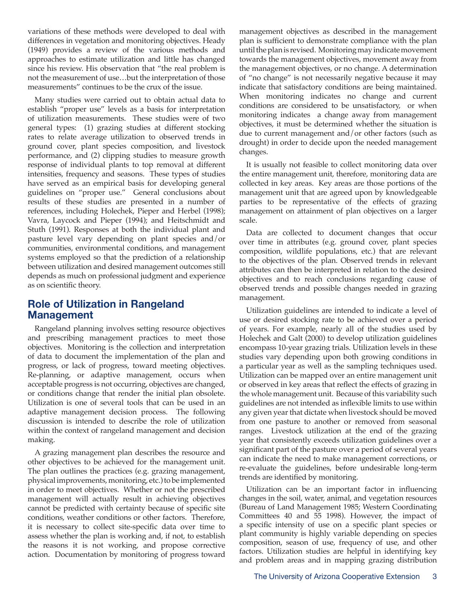variations of these methods were developed to deal with differences in vegetation and monitoring objectives. Heady (1949) provides a review of the various methods and approaches to estimate utilization and little has changed since his review. His observation that "the real problem is not the measurement of use…but the interpretation of those measurements" continues to be the crux of the issue.

Many studies were carried out to obtain actual data to establish "proper use" levels as a basis for interpretation of utilization measurements. These studies were of two general types: (1) grazing studies at different stocking rates to relate average utilization to observed trends in ground cover, plant species composition, and livestock performance, and (2) clipping studies to measure growth response of individual plants to top removal at different intensities, frequency and seasons. These types of studies have served as an empirical basis for developing general guidelines on "proper use." General conclusions about results of these studies are presented in a number of references, including Holechek, Pieper and Herbel (1998); Vavra, Laycock and Pieper (1994); and Heitschmidt and Stuth (1991). Responses at both the individual plant and pasture level vary depending on plant species and/or communities, environmental conditions, and management systems employed so that the prediction of a relationship between utilization and desired management outcomes still depends as much on professional judgment and experience as on scientific theory.

#### **Role of Utilization in Rangeland Management**

Rangeland planning involves setting resource objectives and prescribing management practices to meet those objectives. Monitoring is the collection and interpretation of data to document the implementation of the plan and progress, or lack of progress, toward meeting objectives. Re-planning, or adaptive management, occurs when acceptable progress is not occurring, objectives are changed, or conditions change that render the initial plan obsolete. Utilization is one of several tools that can be used in an adaptive management decision process. The following discussion is intended to describe the role of utilization within the context of rangeland management and decision making.

A grazing management plan describes the resource and other objectives to be achieved for the management unit. The plan outlines the practices (e.g. grazing management, physical improvements, monitoring, etc.) to be implemented in order to meet objectives. Whether or not the prescribed management will actually result in achieving objectives cannot be predicted with certainty because of specific site conditions, weather conditions or other factors. Therefore, it is necessary to collect site-specific data over time to assess whether the plan is working and, if not, to establish the reasons it is not working, and propose corrective action. Documentation by monitoring of progress toward

management objectives as described in the management plan is sufficient to demonstrate compliance with the plan until the plan is revised. Monitoring may indicate movement towards the management objectives, movement away from the management objectives, or no change. A determination of "no change" is not necessarily negative because it may indicate that satisfactory conditions are being maintained. When monitoring indicates no change and current conditions are considered to be unsatisfactory, or when monitoring indicates a change away from management objectives, it must be determined whether the situation is due to current management and/or other factors (such as drought) in order to decide upon the needed management changes.

It is usually not feasible to collect monitoring data over the entire management unit, therefore, monitoring data are collected in key areas. Key areas are those portions of the management unit that are agreed upon by knowledgeable parties to be representative of the effects of grazing management on attainment of plan objectives on a larger scale.

Data are collected to document changes that occur over time in attributes (e.g. ground cover, plant species composition, wildlife populations, etc.) that are relevant to the objectives of the plan. Observed trends in relevant attributes can then be interpreted in relation to the desired objectives and to reach conclusions regarding cause of observed trends and possible changes needed in grazing management.

Utilization guidelines are intended to indicate a level of use or desired stocking rate to be achieved over a period of years. For example, nearly all of the studies used by Holechek and Galt (2000) to develop utilization guidelines encompass 10-year grazing trials. Utilization levels in these studies vary depending upon both growing conditions in a particular year as well as the sampling techniques used. Utilization can be mapped over an entire management unit or observed in key areas that reflect the effects of grazing in the whole management unit. Because of this variability such guidelines are not intended as inflexible limits to use within any given year that dictate when livestock should be moved from one pasture to another or removed from seasonal ranges. Livestock utilization at the end of the grazing year that consistently exceeds utilization guidelines over a significant part of the pasture over a period of several years can indicate the need to make management corrections, or re-evaluate the guidelines, before undesirable long-term trends are identified by monitoring.

Utilization can be an important factor in influencing changes in the soil, water, animal, and vegetation resources (Bureau of Land Management 1985; Western Coordinating Committees 40 and 55 1998). However, the impact of a specific intensity of use on a specific plant species or plant community is highly variable depending on species composition, season of use, frequency of use, and other factors. Utilization studies are helpful in identifying key and problem areas and in mapping grazing distribution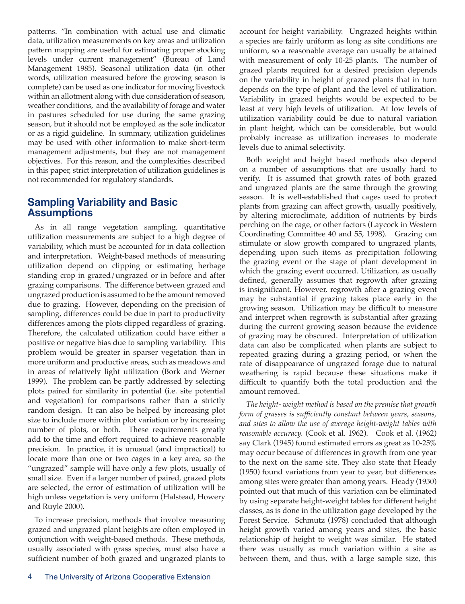patterns. "In combination with actual use and climatic data, utilization measurements on key areas and utilization pattern mapping are useful for estimating proper stocking levels under current management" (Bureau of Land Management 1985). Seasonal utilization data (in other words, utilization measured before the growing season is complete) can be used as one indicator for moving livestock within an allotment along with due consideration of season, weather conditions, and the availability of forage and water in pastures scheduled for use during the same grazing season, but it should not be employed as the sole indicator or as a rigid guideline. In summary, utilization guidelines may be used with other information to make short-term management adjustments, but they are not management objectives. For this reason, and the complexities described in this paper, strict interpretation of utilization guidelines is not recommended for regulatory standards.

#### **Sampling Variability and Basic Assumptions**

As in all range vegetation sampling, quantitative utilization measurements are subject to a high degree of variability, which must be accounted for in data collection and interpretation. Weight-based methods of measuring utilization depend on clipping or estimating herbage standing crop in grazed/ungrazed or in before and after grazing comparisons. The difference between grazed and ungrazed production is assumed to be the amount removed due to grazing. However, depending on the precision of sampling, differences could be due in part to productivity differences among the plots clipped regardless of grazing. Therefore, the calculated utilization could have either a positive or negative bias due to sampling variability. This problem would be greater in sparser vegetation than in more uniform and productive areas, such as meadows and in areas of relatively light utilization (Bork and Werner 1999). The problem can be partly addressed by selecting plots paired for similarity in potential (i.e. site potential and vegetation) for comparisons rather than a strictly random design. It can also be helped by increasing plot size to include more within plot variation or by increasing number of plots, or both. These requirements greatly add to the time and effort required to achieve reasonable precision. In practice, it is unusual (and impractical) to locate more than one or two cages in a key area, so the "ungrazed" sample will have only a few plots, usually of small size. Even if a larger number of paired, grazed plots are selected, the error of estimation of utilization will be high unless vegetation is very uniform (Halstead, Howery and Ruyle 2000).

To increase precision, methods that involve measuring grazed and ungrazed plant heights are often employed in conjunction with weight-based methods. These methods, usually associated with grass species, must also have a sufficient number of both grazed and ungrazed plants to account for height variability. Ungrazed heights within a species are fairly uniform as long as site conditions are uniform, so a reasonable average can usually be attained with measurement of only 10-25 plants. The number of grazed plants required for a desired precision depends on the variability in height of grazed plants that in turn depends on the type of plant and the level of utilization. Variability in grazed heights would be expected to be least at very high levels of utilization. At low levels of utilization variability could be due to natural variation in plant height, which can be considerable, but would probably increase as utilization increases to moderate levels due to animal selectivity.

Both weight and height based methods also depend on a number of assumptions that are usually hard to verify. It is assumed that growth rates of both grazed and ungrazed plants are the same through the growing season. It is well-established that cages used to protect plants from grazing can affect growth, usually positively, by altering microclimate, addition of nutrients by birds perching on the cage, or other factors (Laycock in Western Coordinating Committee 40 and 55, 1998). Grazing can stimulate or slow growth compared to ungrazed plants, depending upon such items as precipitation following the grazing event or the stage of plant development in which the grazing event occurred. Utilization, as usually defined, generally assumes that regrowth after grazing is insignificant. However, regrowth after a grazing event may be substantial if grazing takes place early in the growing season. Utilization may be difficult to measure and interpret when regrowth is substantial after grazing during the current growing season because the evidence of grazing may be obscured. Interpretation of utilization data can also be complicated when plants are subject to repeated grazing during a grazing period, or when the rate of disappearance of ungrazed forage due to natural weathering is rapid because these situations make it difficult to quantify both the total production and the amount removed.

*The height- weight method is based on the premise that growth form of grasses is sufficiently constant between years, seasons, and sites to allow the use of average height-weight tables with reasonable accuracy.* (Cook et al. 1962). Cook et al. (1962) say Clark (1945) found estimated errors as great as 10-25% may occur because of differences in growth from one year to the next on the same site. They also state that Heady (1950) found variations from year to year, but differences among sites were greater than among years. Heady (1950) pointed out that much of this variation can be eliminated by using separate height-weight tables for different height classes, as is done in the utilization gage developed by the Forest Service. Schmutz (1978) concluded that although height growth varied among years and sites, the basic relationship of height to weight was similar. He stated there was usually as much variation within a site as between them, and thus, with a large sample size, this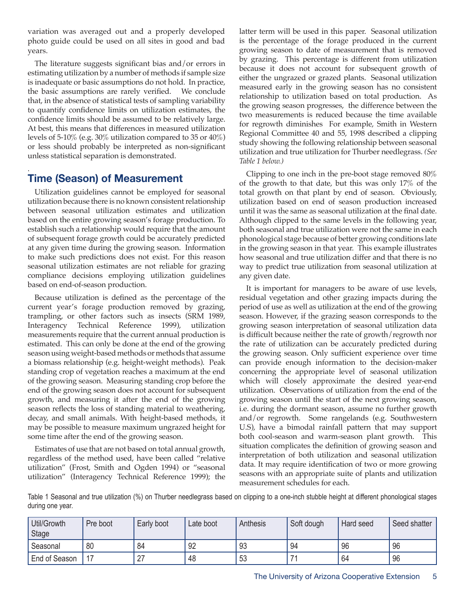variation was averaged out and a properly developed photo guide could be used on all sites in good and bad years.

The literature suggests significant bias and/or errors in estimating utilization by a number of methods if sample size is inadequate or basic assumptions do not hold. In practice, the basic assumptions are rarely verified. We conclude that, in the absence of statistical tests of sampling variability to quantify confidence limits on utilization estimates, the confidence limits should be assumed to be relatively large. At best, this means that differences in measured utilization levels of 5-10% (e.g. 30% utilization compared to 35 or 40%) or less should probably be interpreted as non-significant unless statistical separation is demonstrated.

#### . **Time (Season) of Measurement**

Utilization guidelines cannot be employed for seasonal utilization because there is no known consistent relationship between seasonal utilization estimates and utilization based on the entire growing season's forage production. To establish such a relationship would require that the amount of subsequent forage growth could be accurately predicted at any given time during the growing season. Information to make such predictions does not exist. For this reason seasonal utilization estimates are not reliable for grazing compliance decisions employing utilization guidelines based on end-of-season production.

Because utilization is defined as the percentage of the current year's forage production removed by grazing, trampling, or other factors such as insects (SRM 1989, Interagency Technical Reference 1999), utilization measurements require that the current annual production is estimated. This can only be done at the end of the growing season using weight-based methods or methods that assume a biomass relationship (e.g. height-weight methods). Peak standing crop of vegetation reaches a maximum at the end of the growing season. Measuring standing crop before the end of the growing season does not account for subsequent growth, and measuring it after the end of the growing season reflects the loss of standing material to weathering, decay, and small animals. With height-based methods, it may be possible to measure maximum ungrazed height for some time after the end of the growing season.

Estimates of use that are not based on total annual growth, regardless of the method used, have been called "relative utilization" (Frost, Smith and Ogden 1994) or "seasonal utilization" (Interagency Technical Reference 1999); the latter term will be used in this paper. Seasonal utilization is the percentage of the forage produced in the current growing season to date of measurement that is removed by grazing. This percentage is different from utilization because it does not account for subsequent growth of either the ungrazed or grazed plants. Seasonal utilization measured early in the growing season has no consistent relationship to utilization based on total production. As the growing season progresses, the difference between the two measurements is reduced because the time available for regrowth diminishes For example, Smith in Western Regional Committee 40 and 55, 1998 described a clipping study showing the following relationship between seasonal utilization and true utilization for Thurber needlegrass. *(See Table 1 below.)*

Clipping to one inch in the pre-boot stage removed 80% of the growth to that date, but this was only 17% of the total growth on that plant by end of season. Obviously, utilization based on end of season production increased until it was the same as seasonal utilization at the final date. Although clipped to the same levels in the following year, both seasonal and true utilization were not the same in each phonological stage because of better growing conditions late in the growing season in that year. This example illustrates how seasonal and true utilization differ and that there is no way to predict true utilization from seasonal utilization at any given date.

It is important for managers to be aware of use levels, residual vegetation and other grazing impacts during the period of use as well as utilization at the end of the growing season. However, if the grazing season corresponds to the growing season interpretation of seasonal utilization data is difficult because neither the rate of growth/regrowth nor the rate of utilization can be accurately predicted during the growing season. Only sufficient experience over time can provide enough information to the decision-maker concerning the appropriate level of seasonal utilization which will closely approximate the desired year-end utilization. Observations of utilization from the end of the growing season until the start of the next growing season, i.e. during the dormant season, assume no further growth and/or regrowth. Some rangelands (e.g. Southwestern U.S), have a bimodal rainfall pattern that may support both cool-season and warm-season plant growth. This situation complicates the definition of growing season and interpretation of both utilization and seasonal utilization data. It may require identification of two or more growing seasons with an appropriate suite of plants and utilization measurement schedules for each.

Table 1 Seasonal and true utilization (%) on Thurber needlegrass based on clipping to a one-inch stubble height at different phonological stages during one year.

| Util/Growth<br>Stage | Pre boot | Early boot | Late boot | Anthesis | Soft dough     | Hard seed | Seed shatter |
|----------------------|----------|------------|-----------|----------|----------------|-----------|--------------|
| Seasonal             | 80       | 84         | 92        | 93       | 94             | 96        | 96           |
| End of Season        |          | 27         | 48        | 53       | $\overline{ }$ | 64        | 96           |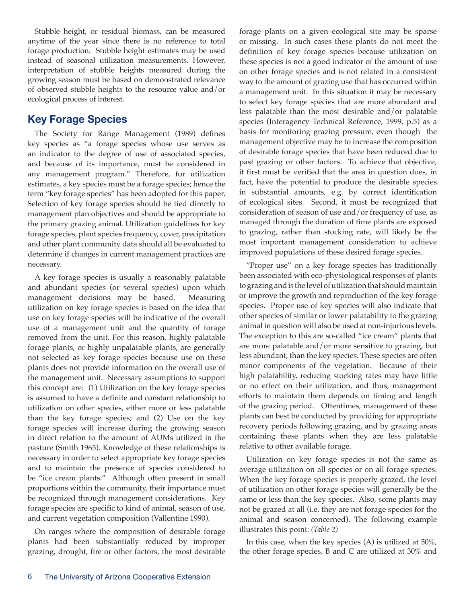Stubble height, or residual biomass, can be measured anytime of the year since there is no reference to total forage production. Stubble height estimates may be used instead of seasonal utilization measurements. However, interpretation of stubble heights measured during the growing season must be based on demonstrated relevance of observed stubble heights to the resource value and/or ecological process of interest.

# **Key Forage Species**

The Society for Range Management (1989) defines key species as "a forage species whose use serves as an indicator to the degree of use of associated species, and because of its importance, must be considered in any management program." Therefore, for utilization estimates, a key species must be a forage species; hence the term "key forage species" has been adopted for this paper. Selection of key forage species should be tied directly to management plan objectives and should be appropriate to the primary grazing animal. Utilization guidelines for key forage species, plant species frequency, cover, precipitation and other plant community data should all be evaluated to determine if changes in current management practices are necessary.

A key forage species is usually a reasonably palatable and abundant species (or several species) upon which management decisions may be based. Measuring utilization on key forage species is based on the idea that use on key forage species will be indicative of the overall use of a management unit and the quantity of forage removed from the unit. For this reason, highly palatable forage plants, or highly unpalatable plants, are generally not selected as key forage species because use on these plants does not provide information on the overall use of the management unit. Necessary assumptions to support this concept are: (1) Utilization on the key forage species is assumed to have a definite and constant relationship to utilization on other species, either more or less palatable than the key forage species; and (2) Use on the key forage species will increase during the growing season in direct relation to the amount of AUMs utilized in the pasture (Smith 1965). Knowledge of these relationships is necessary in order to select appropriate key forage species and to maintain the presence of species considered to be "ice cream plants." Although often present in small proportions within the community, their importance must be recognized through management considerations. Key forage species are specific to kind of animal, season of use, and current vegetation composition (Vallentine 1990).

On ranges where the composition of desirable forage plants had been substantially reduced by improper grazing, drought, fire or other factors, the most desirable forage plants on a given ecological site may be sparse or missing. In such cases these plants do not meet the definition of key forage species because utilization on these species is not a good indicator of the amount of use on other forage species and is not related in a consistent way to the amount of grazing use that has occurred within a management unit. In this situation it may be necessary to select key forage species that are more abundant and less palatable than the most desirable and/or palatable species (Interagency Technical Reference, 1999, p.5) as a basis for monitoring grazing pressure, even though the management objective may be to increase the composition of desirable forage species that have been reduced due to past grazing or other factors. To achieve that objective, it first must be verified that the area in question does, in fact, have the potential to produce the desirable species in substantial amounts, e.g. by correct identification of ecological sites. Second, it must be recognized that consideration of season of use and/or frequency of use, as managed through the duration of time plants are exposed to grazing, rather than stocking rate, will likely be the most important management consideration to achieve improved populations of these desired forage species.

"Proper use" on a key forage species has traditionally been associated with eco-physiological responses of plants to grazing and is the level of utilization that should maintain or improve the growth and reproduction of the key forage species. Proper use of key species will also indicate that other species of similar or lower palatability to the grazing animal in question will also be used at non-injurious levels. The exception to this are so-called "ice cream" plants that are more palatable and/or more sensitive to grazing, but less abundant, than the key species. These species are often minor components of the vegetation. Because of their high palatability, reducing stocking rates may have little or no effect on their utilization, and thus, management efforts to maintain them depends on timing and length of the grazing period. Oftentimes, management of these plants can best be conducted by providing for appropriate recovery periods following grazing, and by grazing areas containing these plants when they are less palatable relative to other available forage.

Utilization on key forage species is not the same as average utilization on all species or on all forage species. When the key forage species is properly grazed, the level of utilization on other forage species will generally be the same or less than the key species. Also, some plants may not be grazed at all (i.e. they are not forage species for the animal and season concerned). The following example illustrates this point: *(Table 2)*

In this case, when the key species  $(A)$  is utilized at 50%, the other forage species, B and C are utilized at 30% and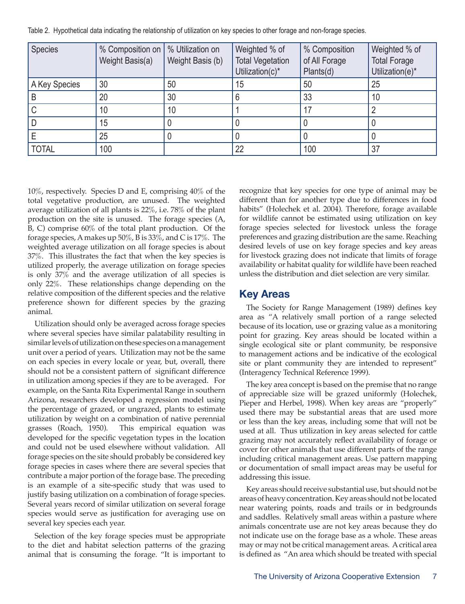| Species       | % Composition on<br>Weight Basis(a) | % Utilization on<br>Weight Basis (b) | Weighted % of<br><b>Total Vegetation</b><br>Utilization(c)* | % Composition<br>of All Forage<br>Plants(d) | Weighted % of<br><b>Total Forage</b><br>Utilization(e)* |
|---------------|-------------------------------------|--------------------------------------|-------------------------------------------------------------|---------------------------------------------|---------------------------------------------------------|
| A Key Species | 30                                  | 50                                   | 15                                                          | 50                                          | 25                                                      |
|               | 20                                  | 30                                   | 6                                                           | 33                                          | 10                                                      |
|               | 10                                  | 10                                   |                                                             |                                             |                                                         |
|               | 15                                  |                                      |                                                             |                                             |                                                         |
|               | 25                                  |                                      |                                                             |                                             |                                                         |
| <b>TOTAL</b>  | 100                                 |                                      | 22                                                          | 100                                         | 37                                                      |

Table 2. Hypothetical data indicating the relationship of utilization on key species to other forage and non-forage species.

10%, respectively. Species D and E, comprising 40% of the total vegetative production, are unused. The weighted average utilization of all plants is 22%, i.e. 78% of the plant production on the site is unused. The forage species (A, B, C) comprise 60% of the total plant production. Of the forage species, A makes up 50%, B is 33%, and C is 17%. The weighted average utilization on all forage species is about 37%. This illustrates the fact that when the key species is utilized properly, the average utilization on forage species is only 37% and the average utilization of all species is only 22%. These relationships change depending on the relative composition of the different species and the relative preference shown for different species by the grazing animal.

Utilization should only be averaged across forage species where several species have similar palatability resulting in similar levels of utilization on these species on a management unit over a period of years. Utilization may not be the same on each species in every locale or year, but, overall, there should not be a consistent pattern of significant difference in utilization among species if they are to be averaged. For example, on the Santa Rita Experimental Range in southern Arizona, researchers developed a regression model using the percentage of grazed, or ungrazed, plants to estimate utilization by weight on a combination of native perennial grasses (Roach, 1950). This empirical equation was developed for the specific vegetation types in the location and could not be used elsewhere without validation. All forage species on the site should probably be considered key forage species in cases where there are several species that contribute a major portion of the forage base. The preceding is an example of a site-specific study that was used to justify basing utilization on a combination of forage species. Several years record of similar utilization on several forage species would serve as justification for averaging use on several key species each year.

Selection of the key forage species must be appropriate to the diet and habitat selection patterns of the grazing animal that is consuming the forage. "It is important to recognize that key species for one type of animal may be different than for another type due to differences in food habits" (Holechek et al. 2004). Therefore, forage available for wildlife cannot be estimated using utilization on key forage species selected for livestock unless the forage preferences and grazing distribution are the same. Reaching desired levels of use on key forage species and key areas for livestock grazing does not indicate that limits of forage availability or habitat quality for wildlife have been reached unless the distribution and diet selection are very similar.

#### **Key Areas**

The Society for Range Management (1989) defines key area as "A relatively small portion of a range selected because of its location, use or grazing value as a monitoring point for grazing. Key areas should be located within a single ecological site or plant community, be responsive to management actions and be indicative of the ecological site or plant community they are intended to represent" (Interagency Technical Reference 1999).

The key area concept is based on the premise that no range of appreciable size will be grazed uniformly (Holechek, Pieper and Herbel, 1998). When key areas are "properly" used there may be substantial areas that are used more or less than the key areas, including some that will not be used at all. Thus utilization in key areas selected for cattle grazing may not accurately reflect availability of forage or cover for other animals that use different parts of the range including critical management areas. Use pattern mapping or documentation of small impact areas may be useful for addressing this issue.

Key areas should receive substantial use, but should not be areas of heavy concentration. Key areas should not be located near watering points, roads and trails or in bedgrounds and saddles. Relatively small areas within a pasture where animals concentrate use are not key areas because they do not indicate use on the forage base as a whole. These areas may or may not be critical management areas. A critical area is defined as "An area which should be treated with special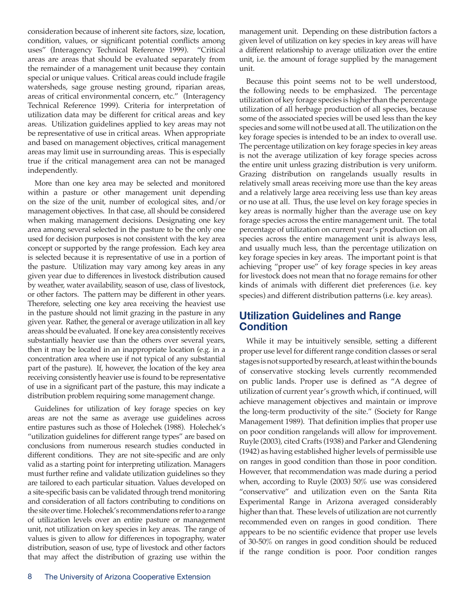consideration because of inherent site factors, size, location, condition, values, or significant potential conflicts among uses" (Interagency Technical Reference 1999). "Critical areas are areas that should be evaluated separately from the remainder of a management unit because they contain special or unique values. Critical areas could include fragile watersheds, sage grouse nesting ground, riparian areas, areas of critical environmental concern, etc." (Interagency Technical Reference 1999). Criteria for interpretation of utilization data may be different for critical areas and key areas. Utilization guidelines applied to key areas may not be representative of use in critical areas. When appropriate and based on management objectives, critical management areas may limit use in surrounding areas. This is especially true if the critical management area can not be managed independently.

More than one key area may be selected and monitored within a pasture or other management unit depending on the size of the unit, number of ecological sites, and/or management objectives. In that case, all should be considered when making management decisions. Designating one key area among several selected in the pasture to be the only one used for decision purposes is not consistent with the key area concept or supported by the range profession. Each key area is selected because it is representative of use in a portion of the pasture. Utilization may vary among key areas in any given year due to differences in livestock distribution caused by weather, water availability, season of use, class of livestock, or other factors. The pattern may be different in other years. Therefore, selecting one key area receiving the heaviest use in the pasture should not limit grazing in the pasture in any given year. Rather, the general or average utilization in all key areas should be evaluated. If one key area consistently receives substantially heavier use than the others over several years, then it may be located in an inappropriate location (e.g. in a concentration area where use if not typical of any substantial part of the pasture). If, however, the location of the key area receiving consistently heavier use is found to be representative of use in a significant part of the pasture, this may indicate a distribution problem requiring some management change.

Guidelines for utilization of key forage species on key areas are not the same as average use guidelines across entire pastures such as those of Holechek (1988). Holechek's "utilization guidelines for different range types" are based on conclusions from numerous research studies conducted in different conditions. They are not site-specific and are only valid as a starting point for interpreting utilization. Managers must further refine and validate utilization guidelines so they are tailored to each particular situation. Values developed on a site-specific basis can be validated through trend monitoring and consideration of all factors contributing to conditions on the site over time. Holechek's recommendations refer to a range of utilization levels over an entire pasture or management unit, not utilization on key species in key areas. The range of values is given to allow for differences in topography, water distribution, season of use, type of livestock and other factors that may affect the distribution of grazing use within the

management unit. Depending on these distribution factors a given level of utilization on key species in key areas will have a different relationship to average utilization over the entire unit, i.e. the amount of forage supplied by the management unit.

Because this point seems not to be well understood, the following needs to be emphasized. The percentage utilization of key forage species is higher than the percentage utilization of all herbage production of all species, because some of the associated species will be used less than the key species and some will not be used at all. The utilization on the key forage species is intended to be an index to overall use. The percentage utilization on key forage species in key areas is not the average utilization of key forage species across the entire unit unless grazing distribution is very uniform. Grazing distribution on rangelands usually results in relatively small areas receiving more use than the key areas and a relatively large area receiving less use than key areas or no use at all. Thus, the use level on key forage species in key areas is normally higher than the average use on key forage species across the entire management unit. The total percentage of utilization on current year's production on all species across the entire management unit is always less, and usually much less, than the percentage utilization on key forage species in key areas. The important point is that achieving "proper use" of key forage species in key areas for livestock does not mean that no forage remains for other kinds of animals with different diet preferences (i.e. key species) and different distribution patterns (i.e. key areas).

#### **Utilization Guidelines and Range Condition**

While it may be intuitively sensible, setting a different proper use level for different range condition classes or seral stages is not supported by research, at least within the bounds of conservative stocking levels currently recommended on public lands. Proper use is defined as "A degree of utilization of current year's growth which, if continued, will achieve management objectives and maintain or improve the long-term productivity of the site." (Society for Range Management 1989). That definition implies that proper use on poor condition rangelands will allow for improvement. Ruyle (2003), cited Crafts (1938) and Parker and Glendening (1942) as having established higher levels of permissible use on ranges in good condition than those in poor condition. However, that recommendation was made during a period when, according to Ruyle (2003) 50% use was considered "conservative" and utilization even on the Santa Rita Experimental Range in Arizona averaged considerably higher than that. These levels of utilization are not currently recommended even on ranges in good condition. There appears to be no scientific evidence that proper use levels of 30-50% on ranges in good condition should be reduced if the range condition is poor. Poor condition ranges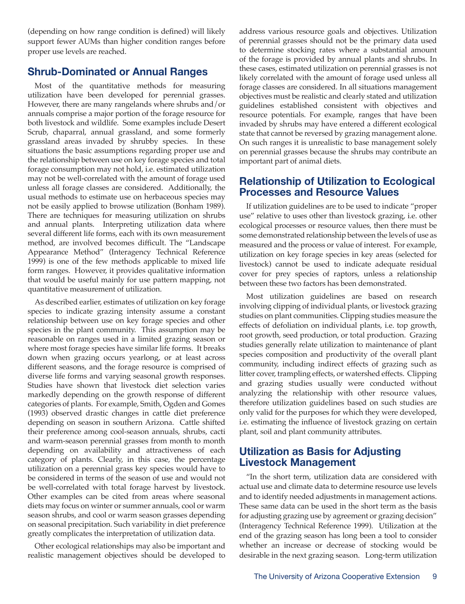(depending on how range condition is defined) will likely support fewer AUMs than higher condition ranges before proper use levels are reached.

#### **Shrub-Dominated or Annual Ranges**

Most of the quantitative methods for measuring utilization have been developed for perennial grasses. However, there are many rangelands where shrubs and/or annuals comprise a major portion of the forage resource for both livestock and wildlife. Some examples include Desert Scrub, chaparral, annual grassland, and some formerly grassland areas invaded by shrubby species. In these situations the basic assumptions regarding proper use and the relationship between use on key forage species and total forage consumption may not hold, i.e. estimated utilization may not be well-correlated with the amount of forage used unless all forage classes are considered. Additionally, the usual methods to estimate use on herbaceous species may not be easily applied to browse utilization (Bonham 1989). There are techniques for measuring utilization on shrubs and annual plants. Interpreting utilization data where several different life forms, each with its own measurement method, are involved becomes difficult. The "Landscape Appearance Method" (Interagency Technical Reference 1999) is one of the few methods applicable to mixed life form ranges. However, it provides qualitative information that would be useful mainly for use pattern mapping, not quantitative measurement of utilization.

As described earlier, estimates of utilization on key forage species to indicate grazing intensity assume a constant relationship between use on key forage species and other species in the plant community. This assumption may be reasonable on ranges used in a limited grazing season or where most forage species have similar life forms. It breaks down when grazing occurs yearlong, or at least across different seasons, and the forage resource is comprised of diverse life forms and varying seasonal growth responses. Studies have shown that livestock diet selection varies markedly depending on the growth response of different categories of plants. For example, Smith, Ogden and Gomes (1993) observed drastic changes in cattle diet preference depending on season in southern Arizona. Cattle shifted their preference among cool-season annuals, shrubs, cacti and warm-season perennial grasses from month to month depending on availability and attractiveness of each category of plants. Clearly, in this case, the percentage utilization on a perennial grass key species would have to be considered in terms of the season of use and would not be well-correlated with total forage harvest by livestock. Other examples can be cited from areas where seasonal diets may focus on winter or summer annuals, cool or warm season shrubs, and cool or warm season grasses depending on seasonal precipitation. Such variability in diet preference greatly complicates the interpretation of utilization data.

Other ecological relationships may also be important and realistic management objectives should be developed to address various resource goals and objectives. Utilization of perennial grasses should not be the primary data used to determine stocking rates where a substantial amount of the forage is provided by annual plants and shrubs. In these cases, estimated utilization on perennial grasses is not likely correlated with the amount of forage used unless all forage classes are considered. In all situations management objectives must be realistic and clearly stated and utilization guidelines established consistent with objectives and resource potentials. For example, ranges that have been invaded by shrubs may have entered a different ecological state that cannot be reversed by grazing management alone. On such ranges it is unrealistic to base management solely on perennial grasses because the shrubs may contribute an important part of animal diets.

#### **Relationship of Utilization to Ecological Processes and Resource Values**

If utilization guidelines are to be used to indicate "proper use" relative to uses other than livestock grazing, i.e. other ecological processes or resource values, then there must be some demonstrated relationship between the levels of use as measured and the process or value of interest. For example, utilization on key forage species in key areas (selected for livestock) cannot be used to indicate adequate residual cover for prey species of raptors, unless a relationship between these two factors has been demonstrated.

Most utilization guidelines are based on research involving clipping of individual plants, or livestock grazing studies on plant communities. Clipping studies measure the effects of defoliation on individual plants, i.e. top growth, root growth, seed production, or total production. Grazing studies generally relate utilization to maintenance of plant species composition and productivity of the overall plant community, including indirect effects of grazing such as litter cover, trampling effects, or watershed effects. Clipping and grazing studies usually were conducted without analyzing the relationship with other resource values, therefore utilization guidelines based on such studies are only valid for the purposes for which they were developed, i.e. estimating the influence of livestock grazing on certain plant, soil and plant community attributes.

#### **Utilization as Basis for Adjusting Livestock Management**

"In the short term, utilization data are considered with actual use and climate data to determine resource use levels and to identify needed adjustments in management actions. These same data can be used in the short term as the basis for adjusting grazing use by agreement or grazing decision" (Interagency Technical Reference 1999). Utilization at the end of the grazing season has long been a tool to consider whether an increase or decrease of stocking would be desirable in the next grazing season. Long-term utilization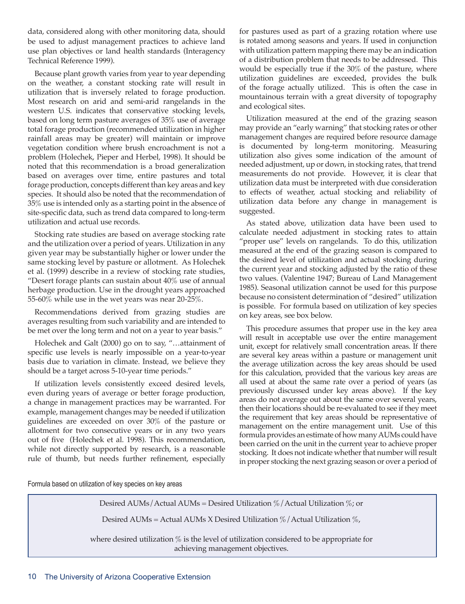data, considered along with other monitoring data, should be used to adjust management practices to achieve land use plan objectives or land health standards (Interagency Technical Reference 1999).

Because plant growth varies from year to year depending on the weather, a constant stocking rate will result in utilization that is inversely related to forage production. Most research on arid and semi-arid rangelands in the western U.S. indicates that conservative stocking levels, based on long term pasture averages of 35% use of average total forage production (recommended utilization in higher rainfall areas may be greater) will maintain or improve vegetation condition where brush encroachment is not a problem (Holechek, Pieper and Herbel, 1998). It should be noted that this recommendation is a broad generalization based on averages over time, entire pastures and total forage production, concepts different than key areas and key species. It should also be noted that the recommendation of 35% use is intended only as a starting point in the absence of site-specific data, such as trend data compared to long-term utilization and actual use records.

Stocking rate studies are based on average stocking rate and the utilization over a period of years. Utilization in any given year may be substantially higher or lower under the same stocking level by pasture or allotment. As Holechek et al. (1999) describe in a review of stocking rate studies, "Desert forage plants can sustain about 40% use of annual herbage production. Use in the drought years approached 55-60% while use in the wet years was near 20-25%.

Recommendations derived from grazing studies are averages resulting from such variability and are intended to be met over the long term and not on a year to year basis."

Holechek and Galt (2000) go on to say, "…attainment of specific use levels is nearly impossible on a year-to-year basis due to variation in climate. Instead, we believe they should be a target across 5-10-year time periods."

If utilization levels consistently exceed desired levels, even during years of average or better forage production, a change in management practices may be warranted. For example, management changes may be needed if utilization guidelines are exceeded on over 30% of the pasture or allotment for two consecutive years or in any two years out of five (Holechek et al. 1998). This recommendation, while not directly supported by research, is a reasonable rule of thumb, but needs further refinement, especially

for pastures used as part of a grazing rotation where use is rotated among seasons and years. If used in conjunction with utilization pattern mapping there may be an indication of a distribution problem that needs to be addressed. This would be especially true if the 30% of the pasture, where utilization guidelines are exceeded, provides the bulk of the forage actually utilized. This is often the case in mountainous terrain with a great diversity of topography and ecological sites.

Utilization measured at the end of the grazing season may provide an "early warning" that stocking rates or other management changes are required before resource damage is documented by long-term monitoring. Measuring utilization also gives some indication of the amount of needed adjustment, up or down, in stocking rates, that trend measurements do not provide. However, it is clear that utilization data must be interpreted with due consideration to effects of weather, actual stocking and reliability of utilization data before any change in management is suggested.

As stated above, utilization data have been used to calculate needed adjustment in stocking rates to attain "proper use" levels on rangelands. To do this, utilization measured at the end of the grazing season is compared to the desired level of utilization and actual stocking during the current year and stocking adjusted by the ratio of these two values. (Valentine 1947; Bureau of Land Management 1985). Seasonal utilization cannot be used for this purpose because no consistent determination of "desired" utilization is possible. For formula based on utilization of key species on key areas, see box below.

This procedure assumes that proper use in the key area will result in acceptable use over the entire management unit, except for relatively small concentration areas. If there are several key areas within a pasture or management unit the average utilization across the key areas should be used for this calculation, provided that the various key areas are all used at about the same rate over a period of years (as previously discussed under key areas above). If the key areas do not average out about the same over several years, then their locations should be re-evaluated to see if they meet the requirement that key areas should be representative of management on the entire management unit. Use of this formula provides an estimate of how many AUMs could have been carried on the unit in the current year to achieve proper stocking. It does not indicate whether that number will result in proper stocking the next grazing season or over a period of

Formula based on utilization of key species on key areas

Desired AUMs / Actual AUMs = Desired Utilization  $\%$  / Actual Utilization  $\%$ ; or

Desired AUMs = Actual AUMs X Desired Utilization  $\%$  / Actual Utilization  $\%$ ,

where desired utilization % is the level of utilization considered to be appropriate for achieving management objectives.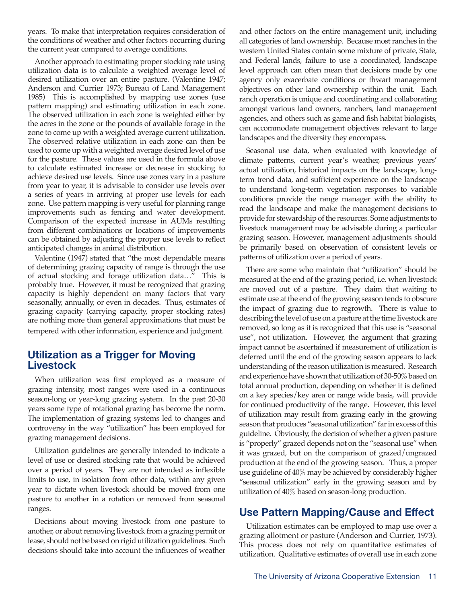years. To make that interpretation requires consideration of the conditions of weather and other factors occurring during the current year compared to average conditions.

Another approach to estimating proper stocking rate using utilization data is to calculate a weighted average level of desired utilization over an entire pasture. (Valentine 1947; Anderson and Currier 1973; Bureau of Land Management 1985) This is accomplished by mapping use zones (use pattern mapping) and estimating utilization in each zone. The observed utilization in each zone is weighted either by the acres in the zone or the pounds of available forage in the zone to come up with a weighted average current utilization. The observed relative utilization in each zone can then be used to come up with a weighted average desired level of use for the pasture. These values are used in the formula above to calculate estimated increase or decrease in stocking to achieve desired use levels. Since use zones vary in a pasture from year to year, it is advisable to consider use levels over a series of years in arriving at proper use levels for each zone. Use pattern mapping is very useful for planning range improvements such as fencing and water development. Comparison of the expected increase in AUMs resulting from different combinations or locations of improvements can be obtained by adjusting the proper use levels to reflect anticipated changes in animal distribution.

Valentine (1947) stated that "the most dependable means of determining grazing capacity of range is through the use of actual stocking and forage utilization data…" This is probably true. However, it must be recognized that grazing capacity is highly dependent on many factors that vary seasonally, annually, or even in decades. Thus, estimates of grazing capacity (carrying capacity, proper stocking rates) are nothing more than general approximations that must be tempered with other information, experience and judgment.

#### **Utilization as a Trigger for Moving Livestock**

When utilization was first employed as a measure of grazing intensity, most ranges were used in a continuous season-long or year-long grazing system. In the past 20-30 years some type of rotational grazing has become the norm. The implementation of grazing systems led to changes and controversy in the way "utilization" has been employed for grazing management decisions.

Utilization guidelines are generally intended to indicate a level of use or desired stocking rate that would be achieved over a period of years. They are not intended as inflexible limits to use, in isolation from other data, within any given year to dictate when livestock should be moved from one pasture to another in a rotation or removed from seasonal ranges.

Decisions about moving livestock from one pasture to another, or about removing livestock from a grazing permit or lease, should not be based on rigid utilization guidelines. Such decisions should take into account the influences of weather and other factors on the entire management unit, including all categories of land ownership. Because most ranches in the western United States contain some mixture of private, State, and Federal lands, failure to use a coordinated, landscape level approach can often mean that decisions made by one agency only exacerbate conditions or thwart management objectives on other land ownership within the unit. Each ranch operation is unique and coordinating and collaborating amongst various land owners, ranchers, land management agencies, and others such as game and fish habitat biologists, can accommodate management objectives relevant to large landscapes and the diversity they encompass.

Seasonal use data, when evaluated with knowledge of climate patterns, current year's weather, previous years' actual utilization, historical impacts on the landscape, longterm trend data, and sufficient experience on the landscape to understand long-term vegetation responses to variable conditions provide the range manager with the ability to read the landscape and make the management decisions to provide for stewardship of the resources. Some adjustments to livestock management may be advisable during a particular grazing season. However, management adjustments should be primarily based on observation of consistent levels or patterns of utilization over a period of years.

There are some who maintain that "utilization" should be measured at the end of the grazing period, i.e. when livestock are moved out of a pasture. They claim that waiting to estimate use at the end of the growing season tends to obscure the impact of grazing due to regrowth. There is value to describing the level of use on a pasture at the time livestock are removed, so long as it is recognized that this use is "seasonal use", not utilization. However, the argument that grazing impact cannot be ascertained if measurement of utilization is deferred until the end of the growing season appears to lack understanding of the reason utilization is measured. Research and experience have shown that utilization of 30-50% based on total annual production, depending on whether it is defined on a key species/key area or range wide basis, will provide for continued productivity of the range. However, this level of utilization may result from grazing early in the growing season that produces "seasonal utilization" far in excess of this guideline. Obviously, the decision of whether a given pasture is "properly" grazed depends not on the "seasonal use" when it was grazed, but on the comparison of grazed/ungrazed production at the end of the growing season. Thus, a proper use guideline of 40% may be achieved by considerably higher "seasonal utilization" early in the growing season and by utilization of 40% based on season-long production.

## **Use Pattern Mapping/Cause and Effect**

Utilization estimates can be employed to map use over a grazing allotment or pasture (Anderson and Currier, 1973). This process does not rely on quantitative estimates of utilization. Qualitative estimates of overall use in each zone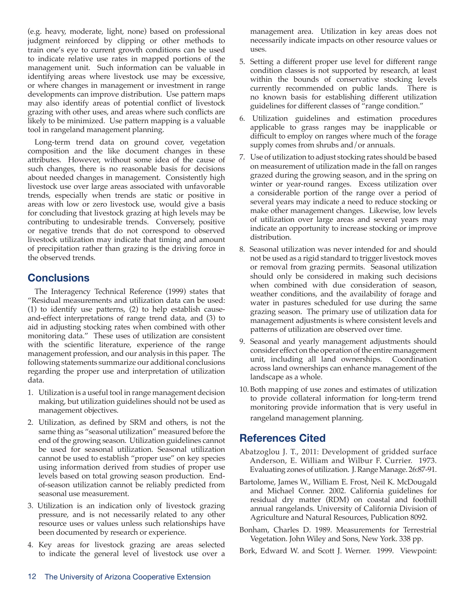(e.g. heavy, moderate, light, none) based on professional judgment reinforced by clipping or other methods to train one's eye to current growth conditions can be used to indicate relative use rates in mapped portions of the management unit. Such information can be valuable in identifying areas where livestock use may be excessive, or where changes in management or investment in range developments can improve distribution. Use pattern maps may also identify areas of potential conflict of livestock grazing with other uses, and areas where such conflicts are likely to be minimized. Use pattern mapping is a valuable tool in rangeland management planning.

Long-term trend data on ground cover, vegetation composition and the like document changes in these attributes. However, without some idea of the cause of such changes, there is no reasonable basis for decisions about needed changes in management. Consistently high livestock use over large areas associated with unfavorable trends, especially when trends are static or positive in areas with low or zero livestock use, would give a basis for concluding that livestock grazing at high levels may be contributing to undesirable trends. Conversely, positive or negative trends that do not correspond to observed livestock utilization may indicate that timing and amount of precipitation rather than grazing is the driving force in the observed trends.

## **Conclusions**

The Interagency Technical Reference (1999) states that "Residual measurements and utilization data can be used: (1) to identify use patterns, (2) to help establish causeand-effect interpretations of range trend data, and (3) to aid in adjusting stocking rates when combined with other monitoring data." These uses of utilization are consistent with the scientific literature, experience of the range management profession, and our analysis in this paper. The following statements summarize our additional conclusions regarding the proper use and interpretation of utilization data.

- 1. Utilization is a useful tool in range management decision making, but utilization guidelines should not be used as management objectives.
- 2. Utilization, as defined by SRM and others, is not the same thing as "seasonal utilization" measured before the end of the growing season. Utilization guidelines cannot be used for seasonal utilization. Seasonal utilization cannot be used to establish "proper use" on key species using information derived from studies of proper use levels based on total growing season production. Endof-season utilization cannot be reliably predicted from seasonal use measurement.
- 3. Utilization is an indication only of livestock grazing pressure, and is not necessarily related to any other resource uses or values unless such relationships have been documented by research or experience.
- 4. Key areas for livestock grazing are areas selected to indicate the general level of livestock use over a

management area. Utilization in key areas does not necessarily indicate impacts on other resource values or uses.

- 5. Setting a different proper use level for different range condition classes is not supported by research, at least within the bounds of conservative stocking levels currently recommended on public lands. There is no known basis for establishing different utilization guidelines for different classes of "range condition."
- 6. Utilization guidelines and estimation procedures applicable to grass ranges may be inapplicable or difficult to employ on ranges where much of the forage supply comes from shrubs and/or annuals.
- 7. Use of utilization to adjust stocking rates should be based on measurement of utilization made in the fall on ranges grazed during the growing season, and in the spring on winter or year-round ranges. Excess utilization over a considerable portion of the range over a period of several years may indicate a need to reduce stocking or make other management changes. Likewise, low levels of utilization over large areas and several years may indicate an opportunity to increase stocking or improve distribution.
- 8. Seasonal utilization was never intended for and should not be used as a rigid standard to trigger livestock moves or removal from grazing permits. Seasonal utilization should only be considered in making such decisions when combined with due consideration of season, weather conditions, and the availability of forage and water in pastures scheduled for use during the same grazing season. The primary use of utilization data for management adjustments is where consistent levels and patterns of utilization are observed over time.
- 9. Seasonal and yearly management adjustments should consider effect on the operation of the entire management unit, including all land ownerships. Coordination across land ownerships can enhance management of the landscape as a whole.
- 10. Both mapping of use zones and estimates of utilization to provide collateral information for long-term trend monitoring provide information that is very useful in rangeland management planning.

# **References Cited**

- Abatzoglou J. T., 2011: Development of gridded surface Anderson, E. William and Wilbur F. Currier. 1973. Evaluating zones of utilization. J. Range Manage. 26:87-91.
- Bartolome, James W., William E. Frost, Neil K. McDougald and Michael Conner. 2002. California guidelines for residual dry matter (RDM) on coastal and foothill annual rangelands. University of California Division of Agriculture and Natural Resources, Publication 8092.
- Bonham, Charles D. 1989. Measurements for Terrestrial Vegetation. John Wiley and Sons, New York. 338 pp.
- Bork, Edward W. and Scott J. Werner. 1999. Viewpoint: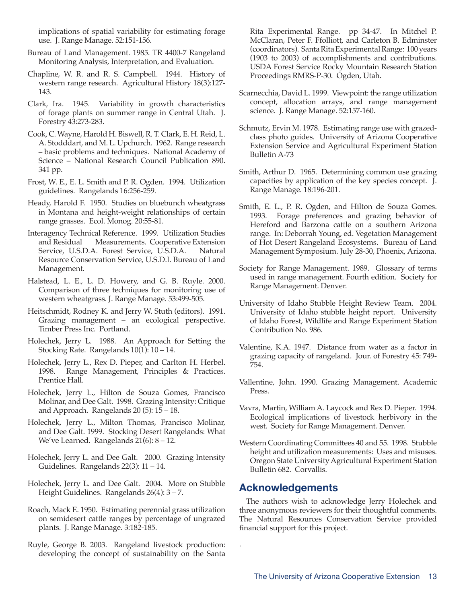implications of spatial variability for estimating forage use. J. Range Manage. 52:151-156.

- Bureau of Land Management. 1985. TR 4400-7 Rangeland Monitoring Analysis, Interpretation, and Evaluation.
- Chapline, W. R. and R. S. Campbell. 1944. History of western range research. Agricultural History 18(3):127- 143.
- Clark, Ira. 1945. Variability in growth characteristics of forage plants on summer range in Central Utah. J. Forestry 43:273-283.
- Cook, C. Wayne, Harold H. Biswell, R. T. Clark, E. H. Reid, L. A. Stodddart, and M. L. Upchurch. 1962. Range research – basic problems and techniques. National Academy of Science – National Research Council Publication 890. 341 pp.
- Frost, W. E., E. L. Smith and P. R. Ogden. 1994. Utilization guidelines. Rangelands 16:256-259.
- Heady, Harold F. 1950. Studies on bluebunch wheatgrass in Montana and height-weight relationships of certain range grasses. Ecol. Monog. 20:55-81.
- Interagency Technical Reference. 1999. Utilization Studies and Residual Measurements. Cooperative Extension Service, U.S.D.A. Forest Service, U.S.D.A. Natural Resource Conservation Service, U.S.D.I. Bureau of Land Management.
- Halstead, L. E., L. D. Howery, and G. B. Ruyle. 2000. Comparison of three techniques for monitoring use of western wheatgrass. J. Range Manage. 53:499-505.
- Heitschmidt, Rodney K. and Jerry W. Stuth (editors). 1991. Grazing management – an ecological perspective. Timber Press Inc. Portland.
- Holechek, Jerry L. 1988. An Approach for Setting the Stocking Rate. Rangelands 10(1): 10 – 14.
- Holechek, Jerry L., Rex D. Pieper, and Carlton H. Herbel. 1998. Range Management, Principles & Practices. Prentice Hall.
- Holechek, Jerry L., Hilton de Souza Gomes, Francisco Molinar, and Dee Galt. 1998. Grazing Intensity: Critique and Approach. Rangelands 20 (5): 15 – 18.
- Holechek, Jerry L., Milton Thomas, Francisco Molinar, and Dee Galt. 1999. Stocking Desert Rangelands: What We've Learned. Rangelands 21(6): 8 – 12.
- Holechek, Jerry L. and Dee Galt. 2000. Grazing Intensity Guidelines. Rangelands 22(3): 11 – 14.
- Holechek, Jerry L. and Dee Galt. 2004. More on Stubble Height Guidelines. Rangelands 26(4): 3 – 7.
- Roach, Mack E. 1950. Estimating perennial grass utilization on semidesert cattle ranges by percentage of ungrazed plants. J. Range Manage. 3:182-185.
- Ruyle, George B. 2003. Rangeland livestock production: developing the concept of sustainability on the Santa

Rita Experimental Range. pp 34-47. In Mitchel P. McClaran, Peter F. Ffolliott, and Carleton B. Edminster (coordinators). Santa Rita Experimental Range: 100 years (1903 to 2003) of accomplishments and contributions. USDA Forest Service Rocky Mountain Research Station Proceedings RMRS-P-30. Ogden, Utah.

- Scarnecchia, David L. 1999. Viewpoint: the range utilization concept, allocation arrays, and range management science. J. Range Manage. 52:157-160.
- Schmutz, Ervin M. 1978. Estimating range use with grazedclass photo guides. University of Arizona Cooperative Extension Service and Agricultural Experiment Station Bulletin A-73
- Smith, Arthur D. 1965. Determining common use grazing capacities by application of the key species concept. J. Range Manage. 18:196-201.
- Smith, E. L., P. R. Ogden, and Hilton de Souza Gomes. 1993. Forage preferences and grazing behavior of Hereford and Barzona cattle on a southern Arizona range. In: Deborrah Young, ed. Vegetation Management of Hot Desert Rangeland Ecosystems. Bureau of Land Management Symposium. July 28-30, Phoenix, Arizona.
- Society for Range Management. 1989. Glossary of terms used in range management. Fourth edition. Society for Range Management. Denver.
- University of Idaho Stubble Height Review Team. 2004. University of Idaho stubble height report. University of Idaho Forest, Wildlife and Range Experiment Station Contribution No. 986.
- Valentine, K.A. 1947. Distance from water as a factor in grazing capacity of rangeland. Jour. of Forestry 45: 749- 754.
- Vallentine, John. 1990. Grazing Management. Academic Press.
- Vavra, Martin, William A. Laycock and Rex D. Pieper. 1994. Ecological implications of livestock herbivory in the west. Society for Range Management. Denver.
- Western Coordinating Committees 40 and 55. 1998. Stubble height and utilization measurements: Uses and misuses. Oregon State University Agricultural Experiment Station Bulletin 682. Corvallis.

## **Acknowledgements**

.

The authors wish to acknowledge Jerry Holechek and three anonymous reviewers for their thoughtful comments. The Natural Resources Conservation Service provided financial support for this project.